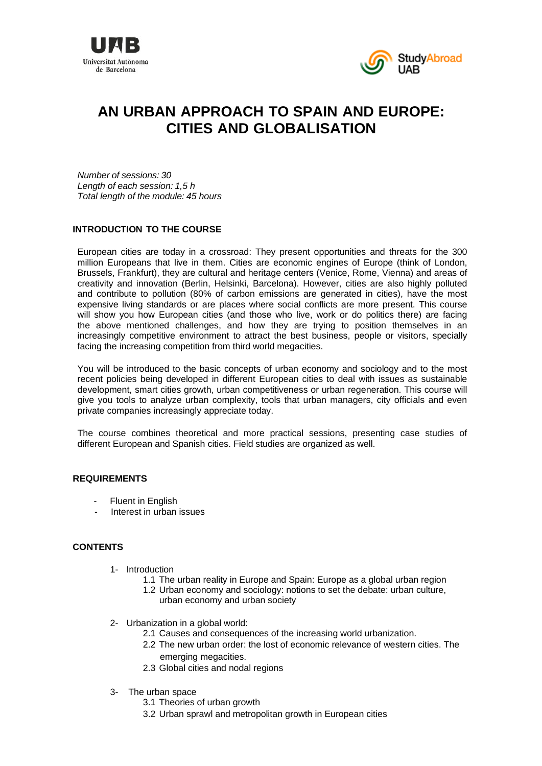



# **AN URBAN APPROACH TO SPAIN AND EUROPE: CITIES AND GLOBALISATION**

*Number of sessions: 30 Length of each session: 1,5 h Total length of the module: 45 hours* 

## **INTRODUCTION TO THE COURSE**

European cities are today in a crossroad: They present opportunities and threats for the 300 million Europeans that live in them. Cities are economic engines of Europe (think of London, Brussels, Frankfurt), they are cultural and heritage centers (Venice, Rome, Vienna) and areas of creativity and innovation (Berlin, Helsinki, Barcelona). However, cities are also highly polluted and contribute to pollution (80% of carbon emissions are generated in cities), have the most expensive living standards or are places where social conflicts are more present. This course will show you how European cities (and those who live, work or do politics there) are facing the above mentioned challenges, and how they are trying to position themselves in an increasingly competitive environment to attract the best business, people or visitors, specially facing the increasing competition from third world megacities.

You will be introduced to the basic concepts of urban economy and sociology and to the most recent policies being developed in different European cities to deal with issues as sustainable development, smart cities growth, urban competitiveness or urban regeneration. This course will give you tools to analyze urban complexity, tools that urban managers, city officials and even private companies increasingly appreciate today.

The course combines theoretical and more practical sessions, presenting case studies of different European and Spanish cities. Field studies are organized as well.

#### **REQUIREMENTS**

- **Fluent in English**
- Interest in urban issues

#### **CONTENTS**

- 1- Introduction
	- 1.1 The urban reality in Europe and Spain: Europe as a global urban region
	- 1.2 Urban economy and sociology: notions to set the debate: urban culture, urban economy and urban society
- 2- Urbanization in a global world:
	- 2.1 Causes and consequences of the increasing world urbanization.
	- 2.2 The new urban order: the lost of economic relevance of western cities. The emerging megacities.
	- 2.3 Global cities and nodal regions
- 3- The urban space
	- 3.1 Theories of urban growth
	- 3.2 Urban sprawl and metropolitan growth in European cities